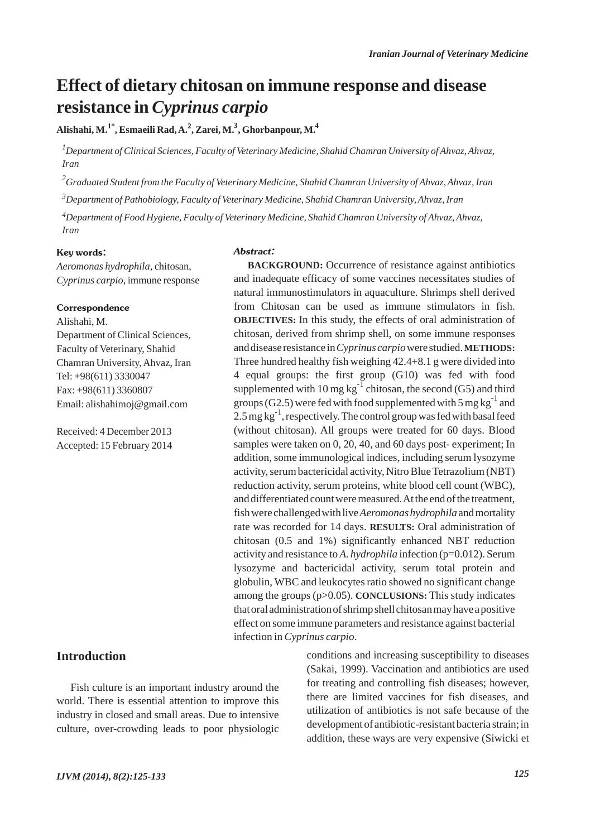# **Effect of dietary chitosan on immune response and disease resistance in** *Cyprinus carpio*

**Alishahi, M.1\*, Esmaeili Rad, A.2 , Zarei, M. <sup>4</sup> , Ghorbanpour, M. <sup>3</sup>**

*1 Department of Clinical Sciences, Faculty of Veterinary Medicine, Shahid Chamran University of Ahvaz, Ahvaz, Iran*

*2 Graduated Student from the Faculty of Veterinary Medicine, Shahid Chamran University of Ahvaz, Ahvaz, Iran*

*3 Department of Pathobiology, Faculty of Veterinary Medicine, Shahid Chamran University, Ahvaz, Iran*

*Department of Food Hygiene, Faculty of Veterinary Medicine, Shahid Chamran University of Ahvaz, Ahvaz, 4 Iran*

#### Key words:

*Aeromonas hydrophila,* chitosan, *Cyprinus carpio*, immune response

#### **Correspondence**

Alishahi, M. Department of Clinical Sciences, Faculty of Veterinary, Shahid Chamran University, Ahvaz, Iran Tel: +98(611) 3330047 Fax: +98(611) 3360807 Email: alishahimoj@gmail.com

Received: 4 December 2013 Accepted: 15 February 2014

## **Introduction**

Fish culture is an important industry around the world. There is essential attention to improve this industry in closed and small areas. Due to intensive culture, over-crowding leads to poor physiologic

#### Abstract:

**BACKGROUND:** Occurrence of resistance against antibiotics and inadequate efficacy of some vaccines necessitates studies of natural immunostimulators in aquaculture. Shrimps shell derived from Chitosan can be used as immune stimulators in fish. **OBJECTIVES:** In this study, the effects of oral administration of chitosan, derived from shrimp shell, on some immune responses and disease resistance in *Cyprinus carpio*were studied. **METHODS:** Three hundred healthy fish weighing 42.4+8.1 g were divided into 4 equal groups: the first group (G10) was fed with food supplemented with 10 mg  $kg^{-1}$  chitosan, the second (G5) and third groups (G2.5) were fed with food supplemented with 5 mg  $kg^{-1}$  and 2.5 mg  $kg^{-1}$ , respectively. The control group was fed with basal feed (without chitosan). All groups were treated for 60 days. Blood samples were taken on 0, 20, 40, and 60 days post- experiment; In addition, some immunological indices, including serum lysozyme activity, serum bactericidal activity, Nitro Blue Tetrazolium (NBT) reduction activity, serum proteins, white blood cell count (WBC), and differentiated count were measured. At the end of the treatment, fish were challenged with live *Aeromonas hydrophila*and mortality rate was recorded for 14 days. **RESULTS:** Oral administration of chitosan (0.5 and 1%) significantly enhanced NBT reduction activity and resistance to *A. hydrophila* infection (p=0.012). Serum lysozyme and bactericidal activity, serum total protein and globulin, WBC and leukocytes ratio showed no significant change among the groups (p>0.05). **CONCLUSIONS:** This study indicates that oral administration of shrimp shell chitosan may have a positive effect on some immune parameters and resistance against bacterial infection in *Cyprinus carpio*.

> conditions and increasing susceptibility to diseases (Sakai, 1999). Vaccination and antibiotics are used for treating and controlling fish diseases; however, there are limited vaccines for fish diseases, and utilization of antibiotics is not safe because of the development of antibiotic-resistant bacteria strain; in addition, these ways are very expensive (Siwicki et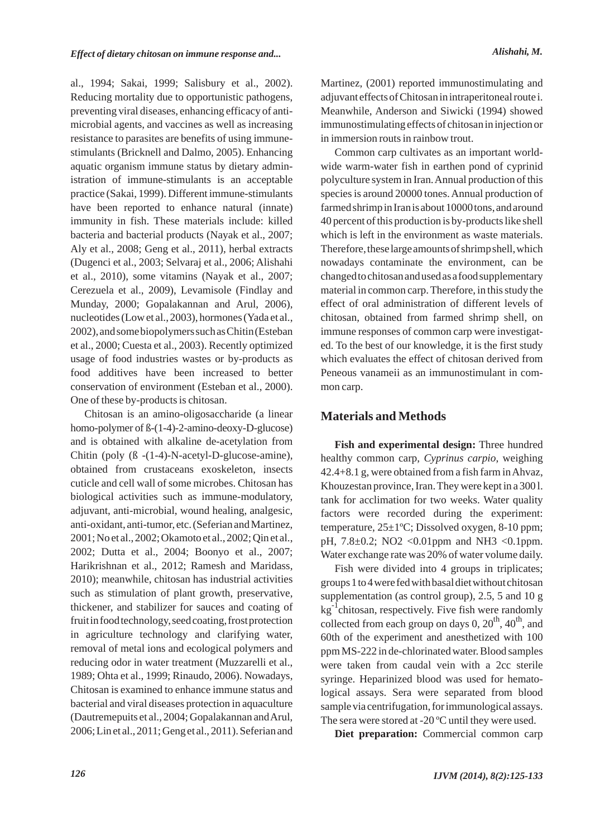al., 1994; Sakai, 1999; Salisbury et al., 2002). Reducing mortality due to opportunistic pathogens, preventing viral diseases, enhancing efficacy of antimicrobial agents, and vaccines as well as increasing resistance to parasites are benefits of using immunestimulants (Bricknell and Dalmo, 2005). Enhancing aquatic organism immune status by dietary administration of immune-stimulants is an acceptable practice (Sakai, 1999). Different immune-stimulants have been reported to enhance natural (innate) immunity in fish. These materials include: killed bacteria and bacterial products (Nayak et al., 2007; Aly et al., 2008; Geng et al., 2011), herbal extracts (Dugenci et al., 2003; Selvaraj et al., 2006; Alishahi et al., 2010), some vitamins (Nayak et al., 2007; Cerezuela et al., 2009), Levamisole (Findlay and Munday, 2000; Gopalakannan and Arul, 2006), nucleotides (Low et al., 2003), hormones (Yada et al., 2002), and some biopolymers such as Chitin (Esteban et al., 2000; Cuesta et al., 2003). Recently optimized usage of food industries wastes or by-products as food additives have been increased to better conservation of environment (Esteban et al., 2000). One of these by-products is chitosan.

Chitosan is an amino-oligosaccharide (a linear homo-polymer of ß-(1-4)-2-amino-deoxy-D-glucose) and is obtained with alkaline de-acetylation from Chitin (poly (ß -(1-4)-N-acetyl-D-glucose-amine), obtained from crustaceans exoskeleton, insects cuticle and cell wall of some microbes. Chitosan has biological activities such as immune-modulatory, adjuvant, anti-microbial, wound healing, analgesic, anti-oxidant, anti-tumor, etc. (Seferian and Martinez, 2001; No et al., 2002; Okamoto et al., 2002; Qin et al., 2002; Dutta et al., 2004; Boonyo et al., 2007; Harikrishnan et al., 2012; Ramesh and Maridass, 2010); meanwhile, chitosan has industrial activities such as stimulation of plant growth, preservative, thickener, and stabilizer for sauces and coating of fruit in food technology, seed coating, frost protection in agriculture technology and clarifying water, removal of metal ions and ecological polymers and reducing odor in water treatment (Muzzarelli et al., 1989; Ohta et al., 1999; Rinaudo, 2006). Nowadays, Chitosan is examined to enhance immune status and bacterial and viral diseases protection in aquaculture (Dautremepuits et al., 2004; Gopalakannan and Arul, 2006; Lin et al., 2011; Geng et al., 2011). Seferian and Martinez, (2001) reported immunostimulating and adjuvant effects of Chitosan in intraperitoneal route i. Meanwhile, Anderson and Siwicki (1994) showed immunostimulating effects of chitosan in injection or in immersion routs in rainbow trout.

Common carp cultivates as an important worldwide warm-water fish in earthen pond of cyprinid polyculture system in Iran. Annual production of this species is around 20000 tones. Annual production of farmed shrimp in Iran is about 10000 tons, and around 40 percent of this production is by-products like shell which is left in the environment as waste materials. Therefore, these large amounts of shrimp shell, which nowadays contaminate the environment, can be changed to chitosan and used as a food supplementary material in common carp. Therefore, in this study the effect of oral administration of different levels of chitosan, obtained from farmed shrimp shell, on immune responses of common carp were investigated. To the best of our knowledge, it is the first study which evaluates the effect of chitosan derived from Peneous vanameii as an immunostimulant in common carp.

## **Materials and Methods**

**Fish and experimental design:** Three hundred healthy common carp, *Cyprinus carpio*, weighing 42.4+8.1 g, were obtained from a fish farm in Ahvaz, Khouzestan province, Iran. They were kept in a 300 l. tank for acclimation for two weeks. Water quality factors were recorded during the experiment: temperature, 25±1ºC; Dissolved oxygen, 8-10 ppm; pH,  $7.8 \pm 0.2$ ; NO2 < 0.01 ppm and NH3 < 0.1 ppm. Water exchange rate was 20% of water volume daily.

Fish were divided into 4 groups in triplicates; groups 1 to 4 were fed with basal diet without chitosan supplementation (as control group), 2.5, 5 and 10 g  $kg^{-1}$ chitosan, respectively. Five fish were randomly collected from each group on days  $0$ ,  $20^{th}$ ,  $40^{th}$ , and 60th of the experiment and anesthetized with 100 ppm MS-222 in de-chlorinated water. Blood samples were taken from caudal vein with a 2cc sterile syringe. Heparinized blood was used for hematological assays. Sera were separated from blood sample via centrifugation, for immunological assays. The sera were stored at -20 °C until they were used.

Diet preparation: Commercial common carp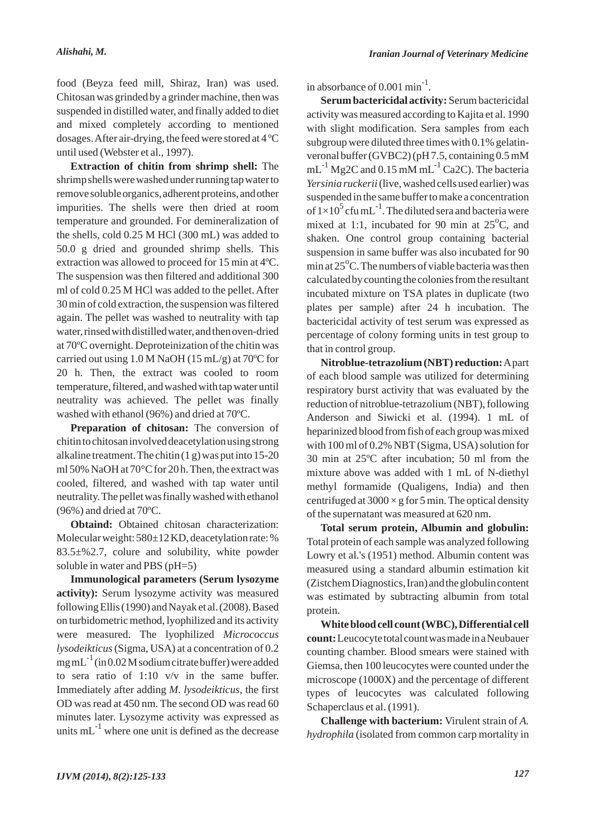food (Beyza feed mill, Shiraz, Iran) was used. Chitosan was grinded by a grinder machine, then was suspended in distilled water, and finally added to diet and mixed completely according to mentioned dosages. After air-drying, the feed were stored at 4 ºC until used (Webster et al., 1997).

**Extraction of chitin from shrimp shell:** The shrimp shells were washed under running tap water to remove soluble organics, adherent proteins, and other impurities. The shells were then dried at room temperature and grounded. For demineralization of the shells, cold 0.25 M HCl (300 mL) was added to 50.0 g dried and grounded shrimp shells. This extraction was allowed to proceed for 15 min at 4ºC. The suspension was then filtered and additional 300 ml of cold 0.25 M HCl was added to the pellet. After 30 min of cold extraction, the suspension was filtered again. The pellet was washed to neutrality with tap water, rinsed with distilled water, and then oven-dried at 70ºC overnight. Deproteinization of the chitin was carried out using  $1.0 M NaOH (15 mL/g)$  at 70<sup>o</sup>C for 20 h. Then, the extract was cooled to room temperature, filtered, and washed with tap water until neutrality was achieved. The pellet was finally washed with ethanol (96%) and dried at 70ºC.

**Preparation of chitosan:** The conversion of chitin to chitosan involved deacetylation using strong alkaline treatment. The chitin (1 g) was put into 15-20 ml 50% NaOH at 70°C for 20 h. Then, the extract was cooled, filtered, and washed with tap water until neutrality. The pellet was finally washed with ethanol  $(96\%)$  and dried at 70 °C.

**Obtaind:** Obtained chitosan characterization: Molecular weight: 580±12 KD, deacetylation rate: % 83.5±%2.7, colure and solubility, white powder soluble in water and PBS (pH=5)

**Immunological parameters (Serum lysozyme activity):** Serum lysozyme activity was measured following Ellis (1990) and Nayak et al. (2008). Based on turbidometric method, lyophilized and its activity were measured. The lyophilized *Micrococcus lysodeikticus*(Sigma, USA) at a concentration of 0.2  $mgmL^{-1}$  (in 0.02 M sodium citrate buffer) were added to sera ratio of 1:10 v/v in the same buffer. Immediately after adding *M. lysodeikticus*, the first OD was read at 450 nm. The second OD was read 60 minutes later. Lysozyme activity was expressed as units  $mL^{-1}$  where one unit is defined as the decrease in absorbance of  $0.001$  min<sup>-1</sup>.

**Serum bactericidal activity:** Serum bactericidal activity was measured according to Kajita et al. 1990 with slight modification. Sera samples from each subgroup were diluted three times with 0.1% gelatinveronal buffer (GVBC2) (pH 7.5, containing 0.5 mM  $mL^{-1}$  Mg2C and 0.15 mM mL<sup>-1</sup> Ca2C). The bacteria *Yersinia ruckerii*(live, washed cells used earlier) was suspended in the same buffer to make a concentration of  $1\times10^5$  cfu mL<sup>-1</sup>. The diluted sera and bacteria were mixed at 1:1, incubated for 90 min at  $25^{\circ}$ C, and shaken. One control group containing bacterial suspension in same buffer was also incubated for 90 min at  $25^{\circ}$ C. The numbers of viable bacteria was then calculated by counting the colonies from the resultant incubated mixture on TSA plates in duplicate (two plates per sample) after 24 h incubation. The bactericidal activity of test serum was expressed as percentage of colony forming units in test group to that in control group.

**Nitroblue-tetrazolium (NBT) reduction:**Apart of each blood sample was utilized for determining respiratory burst activity that was evaluated by the reduction of nitroblue-tetrazolium (NBT), following Anderson and Siwicki et al. (1994). 1 mL of heparinized blood from fish of each group was mixed with 100 ml of 0.2% NBT (Sigma, USA) solution for 30 min at 25ºC after incubation; 50 ml from the mixture above was added with 1 mL of N-diethyl methyl formamide (Qualigens, India) and then centrifuged at  $3000 \times g$  for 5 min. The optical density of the supernatant was measured at 620 nm.

**Total serum protein, Albumin and globulin:** Total protein of each sample was analyzed following Lowry et al.'s (1951) method. Albumin content was measured using a standard albumin estimation kit (Zistchem Diagnostics, Iran) and the globulin content was estimated by subtracting albumin from total protein.

**White blood cell count (WBC), Differential cell count:**Leucocyte total count was made in a Neubauer counting chamber. Blood smears were stained with Giemsa, then 100 leucocytes were counted under the microscope (1000X) and the percentage of different types of leucocytes was calculated following Schaperclaus et al. (1991).

**Challenge with bacterium:** Virulent strain of *A. hydrophila* (isolated from common carp mortality in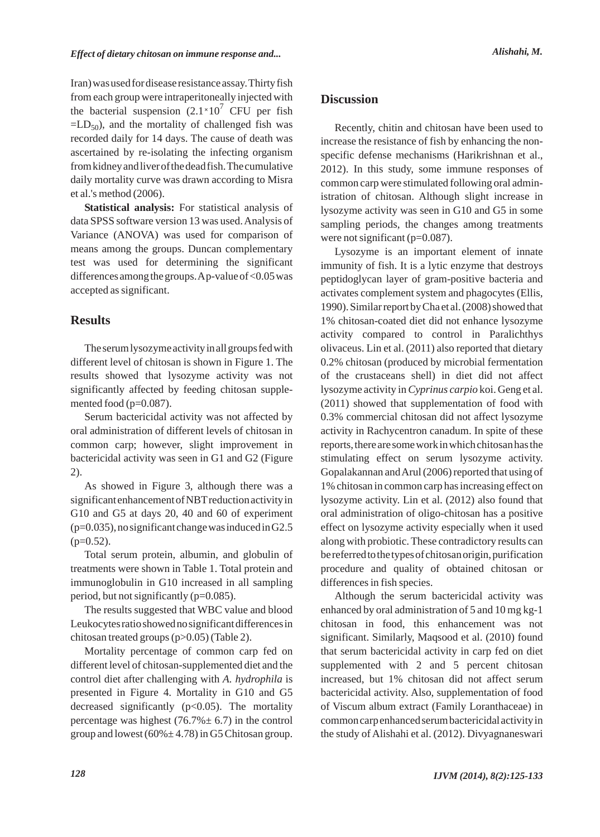Iran) was used for disease resistance assay. Thirty fish from each group were intraperitoneally injected with the bacterial suspension  $(2.1 \times 10^7 \text{ CFU})$  per fish  $=LD_{50}$ , and the mortality of challenged fish was recorded daily for 14 days. The cause of death was ascertained by re-isolating the infecting organism from kidney and liver of the dead fish. The cumulative daily mortality curve was drawn according to Misra et al.'s method (2006).

**Statistical analysis:** For statistical analysis of data SPSS software version 13 was used. Analysis of Variance (ANOVA) was used for comparison of means among the groups. Duncan complementary test was used for determining the significant differences among the groups. Ap-value of <0.05 was accepted as significant.

# **Results**

The serum lysozyme activity in all groups fed with different level of chitosan is shown in Figure 1. The results showed that lysozyme activity was not significantly affected by feeding chitosan supplemented food (p=0.087).

Serum bactericidal activity was not affected by oral administration of different levels of chitosan in common carp; however, slight improvement in bactericidal activity was seen in G1 and G2 (Figure 2).

As showed in Figure 3, although there was a significant enhancement of NBT reduction activity in G10 and G5 at days 20, 40 and 60 of experiment  $(p=0.035)$ , no significant change was induced in G2.5  $(p=0.52)$ .

Total serum protein, albumin, and globulin of treatments were shown in Table 1. Total protein and immunoglobulin in G10 increased in all sampling period, but not significantly (p=0.085).

The results suggested that WBC value and blood Leukocytes ratio showed no significant differences in chitosan treated groups (p>0.05) (Table 2).

Mortality percentage of common carp fed on different level of chitosan-supplemented diet and the control diet after challenging with *A. hydrophila* is presented in Figure 4. Mortality in G10 and G5 decreased significantly  $(p<0.05)$ . The mortality percentage was highest  $(76.7% \pm 6.7)$  in the control group and lowest  $(60\% \pm 4.78)$  in G5 Chitosan group.

# **Discussion**

Recently, chitin and chitosan have been used to increase the resistance of fish by enhancing the nonspecific defense mechanisms (Harikrishnan et al., 2012). In this study, some immune responses of common carp were stimulated following oral administration of chitosan. Although slight increase in lysozyme activity was seen in G10 and G5 in some sampling periods, the changes among treatments were not significant (p=0.087).

Lysozyme is an important element of innate immunity of fish. It is a lytic enzyme that destroys peptidoglycan layer of gram-positive bacteria and activates complement system and phagocytes (Ellis, 1990). Similar report by Cha et al. (2008) showed that 1% chitosan-coated diet did not enhance lysozyme activity compared to control in Paralichthys olivaceus. Lin et al. (2011) also reported that dietary 0.2% chitosan (produced by microbial fermentation of the crustaceans shell) in diet did not affect lysozyme activity in *Cyprinus carpio* koi. Geng et al. (2011) showed that supplementation of food with 0.3% commercial chitosan did not affect lysozyme activity in Rachycentron canadum. In spite of these reports, there are some work in which chitosan has the stimulating effect on serum lysozyme activity. Gopalakannan and Arul (2006) reported that using of 1% chitosan in common carp has increasing effect on lysozyme activity. Lin et al. (2012) also found that oral administration of oligo-chitosan has a positive effect on lysozyme activity especially when it used along with probiotic. These contradictory results can be referred to the types of chitosan origin, purification procedure and quality of obtained chitosan or differences in fish species.

Although the serum bactericidal activity was enhanced by oral administration of 5 and 10 mg kg-1 chitosan in food, this enhancement was not significant. Similarly, Maqsood et al. (2010) found that serum bactericidal activity in carp fed on diet supplemented with 2 and 5 percent chitosan increased, but 1% chitosan did not affect serum bactericidal activity. Also, supplementation of food of Viscum album extract (Family Loranthaceae) in common carp enhanced serum bactericidal activity in the study of Alishahi et al. (2012). Divyagnaneswari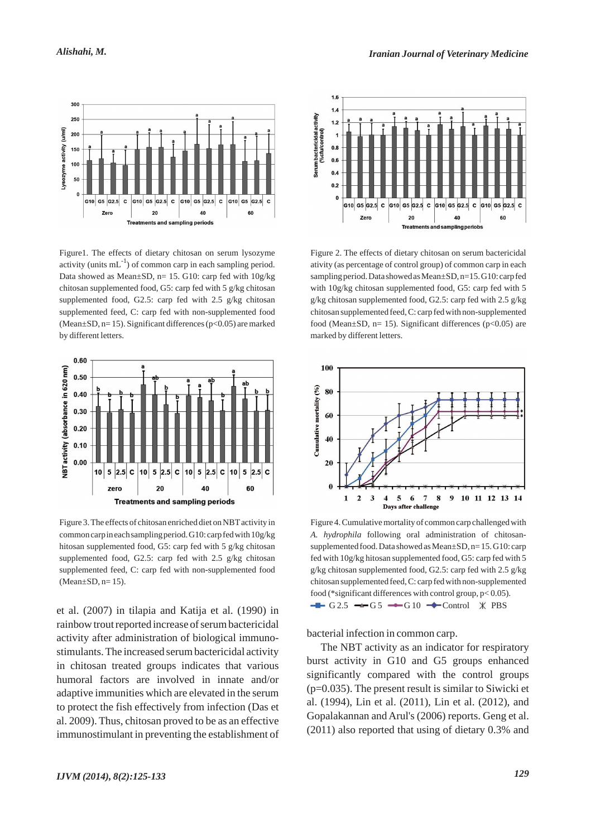

Figure1. The effects of dietary chitosan on serum lysozyme activity (units  $mL^{-1}$ ) of common carp in each sampling period. Data showed as Mean $\pm$ SD, n= 15. G10: carp fed with  $10g/kg$ chitosan supplemented food, G5: carp fed with 5 g/kg chitosan supplemented food, G2.5: carp fed with 2.5 g/kg chitosan supplemented feed, C: carp fed with non-supplemented food (Mean $\pm$ SD, n= 15). Significant differences (p<0.05) are marked by different letters.



Figure 3. The effects of chitosan enriched diet on NBT activity in common carp in each sampling period. G10: carp fed with 10g/kg hitosan supplemented food, G5: carp fed with 5 g/kg chitosan supplemented food, G2.5: carp fed with 2.5 g/kg chitosan supplemented feed, C: carp fed with non-supplemented food  $(Mean \pm SD, n=15)$ .

et al. (2007) in tilapia and Katija et al. (1990) in rainbow trout reported increase of serum bactericidal activity after administration of biological immunostimulants. The increased serum bactericidal activity in chitosan treated groups indicates that various humoral factors are involved in innate and/or adaptive immunities which are elevated in the serum to protect the fish effectively from infection (Das et al. 2009). Thus, chitosan proved to be as an effective immunostimulant in preventing the establishment of



Figure 2. The effects of dietary chitosan on serum bactericidal ativity (as percentage of control group) of common carp in each sampling period. Data showed as Mean±SD, n=15. G10: carp fed with 10g/kg chitosan supplemented food, G5: carp fed with 5 g/kg chitosan supplemented food, G2.5: carp fed with 2.5 g/kg chitosan supplemented feed, C: carp fed with non-supplemented food (Mean $\pm$ SD, n= 15). Significant differences (p<0.05) are marked by different letters.



Figure 4. Cumulative mortality of common carp challenged with *A. hydrophila* following oral administration of chitosansupplemented food. Data showed as Mean±SD, n= 15. G10: carp fed with 10g/kg hitosan supplemented food, G5: carp fed with 5 g/kg chitosan supplemented food, G2.5: carp fed with 2.5 g/kg chitosan supplemented feed, C: carp fed with non-supplemented food (\*significant differences with control group, p< 0.05).  $-G 2.5 \rightarrow G 5 \rightarrow G 10 \rightarrow Control \times PBS$ 

bacterial infection in common carp.

The NBT activity as an indicator for respiratory burst activity in G10 and G5 groups enhanced significantly compared with the control groups  $(p=0.035)$ . The present result is similar to Siwicki et al. (1994), Lin et al. (2011), Lin et al. (2012), and Gopalakannan and Arul's (2006) reports. Geng et al. (2011) also reported that using of dietary 0.3% and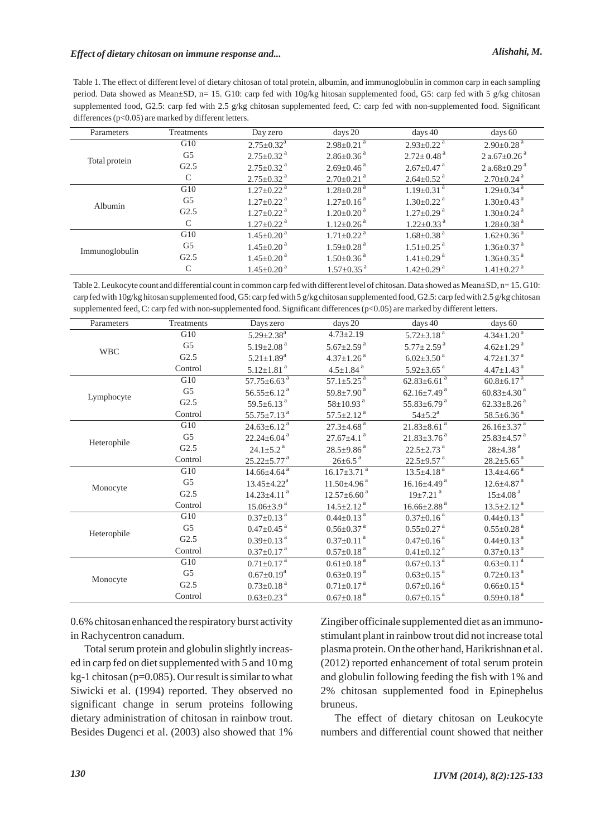# *Effect of dietary chitosan on immune response and... Alishahi, M.*

Table 1. The effect of different level of dietary chitosan of total protein, albumin, and immunoglobulin in common carp in each sampling period. Data showed as Mean±SD, n= 15. G10: carp fed with 10g/kg hitosan supplemented food, G5: carp fed with 5 g/kg chitosan supplemented food, G2.5: carp fed with 2.5 g/kg chitosan supplemented feed, C: carp fed with non-supplemented food. Significant differences ( $p<0.05$ ) are marked by different letters.

| Parameters     | <b>Treatments</b> | Day zero                     | days 20                      | days $40$                    | days 60                       |
|----------------|-------------------|------------------------------|------------------------------|------------------------------|-------------------------------|
| Total protein  | G10               | $2.75 \pm 0.32^{\text{a}}$   | $2.98 \pm 0.21$ <sup>a</sup> | $2.93 \pm 0.22$ <sup>a</sup> | $2.90\pm0.28$ <sup>a</sup>    |
|                | G <sub>5</sub>    | $2.75 \pm 0.32$ <sup>a</sup> | $2.86 \pm 0.36$ <sup>a</sup> | $2.72 \pm 0.48$ <sup>a</sup> | $2a.67 \pm 0.26$ <sup>a</sup> |
|                | G2.5              | $2.75 \pm 0.32$ <sup>a</sup> | $2.69 \pm 0.46$ <sup>a</sup> | $2.67 \pm 0.47$ <sup>a</sup> | $2a.68 \pm 0.29$ <sup>a</sup> |
|                | C                 | $2.75 \pm 0.32$ <sup>a</sup> | $2.70 \pm 0.21$ <sup>a</sup> | $2.64 \pm 0.52$ <sup>a</sup> | $2.70 \pm 0.24$ <sup>a</sup>  |
| Albumin        | G10               | $1.27 \pm 0.22$ <sup>a</sup> | $1.28 \pm 0.28$ <sup>a</sup> | $1.19 \pm 0.31$ <sup>a</sup> | $1.29 \pm 0.34$ <sup>a</sup>  |
|                | G <sub>5</sub>    | $1.27 \pm 0.22$ <sup>a</sup> | $1.27+0.16^{\text{a}}$       | $1.30 \pm 0.22$ <sup>a</sup> | $1.30 \pm 0.43$ <sup>a</sup>  |
|                | G2.5              | $1.27 \pm 0.22$ <sup>a</sup> | $1.20 \pm 0.20$ <sup>a</sup> | $1.27 \pm 0.29$ <sup>a</sup> | $1.30 \pm 0.24$ <sup>a</sup>  |
|                | C                 | $1.27 \pm 0.22$ <sup>a</sup> | $1.12 + 0.26$ <sup>a</sup>   | $1.22 \pm 0.33$ <sup>a</sup> | $1.28 \pm 0.38$ <sup>a</sup>  |
| Immunoglobulin | G10               | $1.45 \pm 0.20$ <sup>a</sup> | $1.71 \pm 0.22$ <sup>a</sup> | $1.68 \pm 0.38$ <sup>a</sup> | $1.62 \pm 0.36$ <sup>a</sup>  |
|                | G <sub>5</sub>    | $1.45 \pm 0.20$ <sup>a</sup> | $1.59 \pm 0.28$ <sup>a</sup> | $1.51 \pm 0.25$ <sup>a</sup> | $1.36 \pm 0.37$ <sup>a</sup>  |
|                | G2.5              | $1.45 \pm 0.20$ <sup>a</sup> | $1.50 \pm 0.36$ <sup>a</sup> | $1.41 \pm 0.29$ <sup>a</sup> | $1.36 \pm 0.35$ <sup>a</sup>  |
|                | C                 | $1.45 \pm 0.20$ <sup>a</sup> | $1.57 + 0.35$ <sup>a</sup>   | $1.42 + 0.29$ <sup>a</sup>   | $1.41 \pm 0.27$ <sup>a</sup>  |

Table 2. Leukocyte count and differential count in common carp fed with different level of chitosan. Data showed as Mean±SD, n= 15. G10: carp fed with 10g/kg hitosan supplemented food, G5: carp fed with 5 g/kg chitosan supplemented food, G2.5: carp fed with 2.5 g/kg chitosan supplemented feed, C: carp fed with non-supplemented food. Significant differences (p<0.05) are marked by different letters.

| Parameters  | Treatments     | Days zero                     | days 20                       | days 40                       | days 60                       |
|-------------|----------------|-------------------------------|-------------------------------|-------------------------------|-------------------------------|
| <b>WBC</b>  | G10            | $5.29 \pm 2.38$ <sup>a</sup>  | $4.73 \pm 2.19$               | $5.72 \pm 3.18$ <sup>a</sup>  | $4.34 \pm 1.20$ <sup>a</sup>  |
|             | G <sub>5</sub> | $5.19 \pm 2.08$ <sup>a</sup>  | $5.67 \pm 2.59$ <sup>a</sup>  | $5.77 \pm 2.59$ <sup>a</sup>  | $4.62 \pm 1.29$ <sup>a</sup>  |
|             | G2.5           | $5.21 \pm 1.89$ <sup>a</sup>  | $4.37 \pm 1.26$ <sup>a</sup>  | $6.02 \pm 3.50$ <sup>a</sup>  | $4.72 \pm 1.37$ <sup>a</sup>  |
|             | Control        | $5.12 \pm 1.81$ <sup>a</sup>  | $4.5 \pm 1.84$ <sup>a</sup>   | $5.92 \pm 3.65$ <sup>a</sup>  | $4.47 \pm 1.43$ <sup>a</sup>  |
| Lymphocyte  | G10            | $57.75 \pm 6.63$ <sup>a</sup> | $57.1 \pm 5.25$ <sup>a</sup>  | $62.83 \pm 6.61$ <sup>a</sup> | $60.8 \pm 6.17$ <sup>a</sup>  |
|             | G <sub>5</sub> | $56.55 \pm 6.12$ <sup>a</sup> | $59.8 \pm 7.90$ <sup>a</sup>  | $62.16{\pm}7.49$ <sup>a</sup> | $60.83 \pm 4.30$ <sup>a</sup> |
|             | G2.5           | $59.5 \pm 6.13$ <sup>a</sup>  | $58 \pm 10.93$ <sup>a</sup>   | $55.83 \pm 6.79$ <sup>a</sup> | $62.33 \pm 8.26$ <sup>a</sup> |
|             | Control        | $55.75 \pm 7.13$ <sup>a</sup> | $57.5 \pm 2.12$ <sup>a</sup>  | $54 \pm 5.2^{\mathrm{a}}$     | $58.5 \pm 6.36$ <sup>a</sup>  |
| Heterophile | G10            | $24.63 \pm 6.12^{a}$          | $27.3 \pm 4.68$ <sup>a</sup>  | $21.83 \pm 8.61$ <sup>a</sup> | $26.16 \pm 3.37$ <sup>a</sup> |
|             | G5             | $22.24 \pm 6.04$ <sup>a</sup> | $27.67 \pm 4.1$ <sup>a</sup>  | $21.83 \pm 3.76$ <sup>a</sup> | $25.83 \pm 4.57$ <sup>a</sup> |
|             | G2.5           | $24.1 \pm 5.2$ <sup>a</sup>   | $28.5 \pm 9.86$ <sup>a</sup>  | $22.5 \pm 2.73$ <sup>a</sup>  | $28 \pm 4.38$ <sup>a</sup>    |
|             | Control        | $25.22 \pm 5.77$ <sup>a</sup> | $26 \pm 6.5$ <sup>a</sup>     | $22.5 \pm 9.57$ <sup>a</sup>  | $28.2 \pm 5.65$ <sup>a</sup>  |
| Monocyte    | G10            | $14.66{\pm}4.64^{a}$          | $16.17 \pm 3.71$ <sup>a</sup> | $13.5 \pm 4.18$ <sup>a</sup>  | $13.4 \pm 4.66$ <sup>a</sup>  |
|             | G5             | $13.45 \pm 4.22^{\text{a}}$   | $11.50\pm4.96$ <sup>a</sup>   | $16.16{\pm}4.49$ <sup>a</sup> | $12.6 \pm 4.87$ <sup>a</sup>  |
|             | G2.5           | $14.23 \pm 4.11$ <sup>a</sup> | $12.57 \pm 6.60$ <sup>a</sup> | $19\pm7.21$ <sup>a</sup>      | $15\pm4.08$ <sup>a</sup>      |
|             | Control        | $15.06 \pm 3.9$ <sup>a</sup>  | $14.5 \pm 2.12$ <sup>a</sup>  | $16.66 \pm 2.88$ <sup>a</sup> | $13.5 \pm 2.12$ <sup>a</sup>  |
| Heterophile | G10            | $0.37 \pm 0.13$ <sup>a</sup>  | $0.44 \pm 0.13$ <sup>a</sup>  | $0.37 \pm 0.16$ <sup>a</sup>  | $0.44 \pm 0.13$ <sup>a</sup>  |
|             | G <sub>5</sub> | $0.47 \pm 0.45$ <sup>a</sup>  | $0.56 \pm 0.37$ <sup>a</sup>  | $0.55{\pm}0.27$ $^{\rm a}$    | $0.55 \pm 0.28$ <sup>a</sup>  |
|             | G2.5           | $0.39 \pm 0.13$ <sup>a</sup>  | $0.37 \pm 0.11$ <sup>a</sup>  | $0.47 \pm 0.16$ <sup>a</sup>  | $0.44 \pm 0.13$ <sup>a</sup>  |
|             | Control        | $0.37 \pm 0.17$ <sup>a</sup>  | $0.57 \pm 0.18$ <sup>a</sup>  | $0.41 \pm 0.12$ <sup>a</sup>  | $0.37 \pm 0.13$ <sup>a</sup>  |
| Monocyte    | G10            | $0.71 \pm 0.17$ <sup>a</sup>  | $0.61{\pm}0.18$ $^{\rm a}$    | $0.67 \pm 0.13$ <sup>a</sup>  | $0.63 \pm 0.11$ <sup>a</sup>  |
|             | G <sub>5</sub> | $0.67 \pm 0.19^a$             | $0.63 \pm 0.19$ <sup>a</sup>  | $0.63 \pm 0.15$ <sup>a</sup>  | $0.72 \pm 0.13$ <sup>a</sup>  |
|             | G2.5           | $0.73 \pm 0.18$ <sup>a</sup>  | $0.71 \pm 0.17$ <sup>a</sup>  | $0.67 \pm 0.16$ <sup>a</sup>  | $0.66 \pm 0.15$ <sup>a</sup>  |
|             | Control        | $0.63 \pm 0.23$ <sup>a</sup>  | $0.67 \pm 0.18$ <sup>a</sup>  | $0.67 \pm 0.15$ <sup>a</sup>  | $0.59 \pm 0.18$ <sup>a</sup>  |
|             |                |                               |                               |                               |                               |

0.6% chitosan enhanced the respiratory burst activity in Rachycentron canadum.

Total serum protein and globulin slightly increased in carp fed on diet supplemented with 5 and 10 mg kg-1 chitosan (p=0.085). Our result is similar to what Siwicki et al. (1994) reported. They observed no significant change in serum proteins following dietary administration of chitosan in rainbow trout. Besides Dugenci et al. (2003) also showed that 1%

Zingiber officinale supplemented diet as an immunostimulant plant in rainbow trout did not increase total plasma protein. On the other hand, Harikrishnan et al. (2012) reported enhancement of total serum protein and globulin following feeding the fish with 1% and 2% chitosan supplemented food in Epinephelus bruneus.

The effect of dietary chitosan on Leukocyte numbers and differential count showed that neither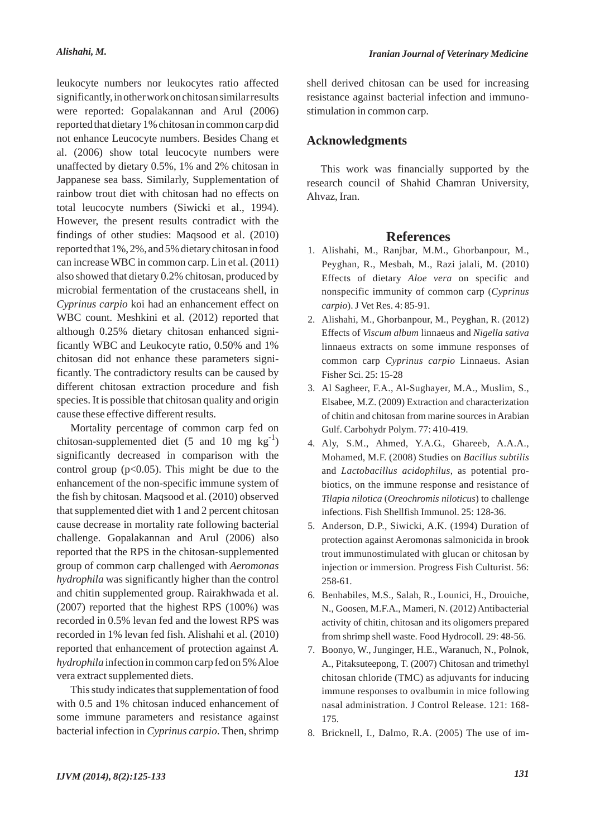leukocyte numbers nor leukocytes ratio affected significantly, in other work on chitosan similar results were reported: Gopalakannan and Arul (2006) reported that dietary 1% chitosan in common carp did not enhance Leucocyte numbers. Besides Chang et al. (2006) show total leucocyte numbers were unaffected by dietary 0.5%, 1% and 2% chitosan in Jappanese sea bass. Similarly, Supplementation of rainbow trout diet with chitosan had no effects on total leucocyte numbers (Siwicki et al., 1994). However, the present results contradict with the findings of other studies: Maqsood et al. (2010) reported that 1%, 2%, and 5% dietary chitosan in food can increase WBC in common carp. Lin et al. (2011) also showed that dietary 0.2% chitosan, produced by microbial fermentation of the crustaceans shell, in *Cyprinus carpio* koi had an enhancement effect on WBC count. Meshkini et al. (2012) reported that although 0.25% dietary chitosan enhanced significantly WBC and Leukocyte ratio, 0.50% and 1% chitosan did not enhance these parameters significantly. The contradictory results can be caused by different chitosan extraction procedure and fish species. It is possible that chitosan quality and origin cause these effective different results.

Mortality percentage of common carp fed on chitosan-supplemented diet  $(5 \text{ and } 10 \text{ mg kg}^{-1})$ significantly decreased in comparison with the control group  $(p<0.05)$ . This might be due to the enhancement of the non-specific immune system of the fish by chitosan. Maqsood et al. (2010) observed that supplemented diet with 1 and 2 percent chitosan cause decrease in mortality rate following bacterial challenge. Gopalakannan and Arul (2006) also reported that the RPS in the chitosan-supplemented group of common carp challenged with *Aeromonas hydrophila* was significantly higher than the control and chitin supplemented group. Rairakhwada et al. (2007) reported that the highest RPS (100%) was recorded in 0.5% levan fed and the lowest RPS was recorded in 1% levan fed fish. Alishahi et al. (2010) reported that enhancement of protection against *A. hydrophila* infection in common carp fed on 5% Aloe vera extract supplemented diets.

This study indicates that supplementation of food with 0.5 and 1% chitosan induced enhancement of some immune parameters and resistance against bacterial infection in *Cyprinus carpio*. Then, shrimp

shell derived chitosan can be used for increasing resistance against bacterial infection and immunostimulation in common carp.

### **Acknowledgments**

This work was financially supported by the research council of Shahid Chamran University, Ahvaz, Iran.

## **References**

- 1. Alishahi, M., Ranjbar, M.M., Ghorbanpour, M., Peyghan, R., Mesbah, M., Razi jalali, M. (2010) Effects of dietary *Aloe vera* on specific and nonspecific immunity of common carp (*Cyprinus carpio*). J Vet Res. 4: 85-91.
- Alishahi, M., Ghorbanpour, M., Peyghan, R. (2012) 2. Effects of *Viscum album* linnaeus and *Nigella sativa* linnaeus extracts on some immune responses of common carp *Cyprinus carpio* Linnaeus. Asian Fisher Sci. 25: 15-28
- Al Sagheer, F.A., Al-Sughayer, M.A., Muslim, S., 3. Elsabee, M.Z. (2009) Extraction and characterization of chitin and chitosan from marine sources in Arabian Gulf. Carbohydr Polym. 77: 410-419.
- Aly, S.M., Ahmed, Y.A.G., Ghareeb, A.A.A., 4. Mohamed, M.F. (2008) Studies on *Bacillus subtilis* and *Lactobacillus acidophilus*, as potential probiotics, on the immune response and resistance of *Tilapia nilotica* (*Oreochromis niloticus*) to challenge infections. Fish Shellfish Immunol. 25: 128-36.
- 5. Anderson, D.P., Siwicki, A.K. (1994) Duration of protection against Aeromonas salmonicida in brook trout immunostimulated with glucan or chitosan by injection or immersion. Progress Fish Culturist. 56: 258-61.
- 6. Benhabiles, M.S., Salah, R., Lounici, H., Drouiche, N., Goosen, M.F.A., Mameri, N. (2012) Antibacterial activity of chitin, chitosan and its oligomers prepared from shrimp shell waste. Food Hydrocoll. 29: 48-56.
- 7. Boonyo, W., Junginger, H.E., Waranuch, N., Polnok, A., Pitaksuteepong, T. (2007) Chitosan and trimethyl chitosan chloride (TMC) as adjuvants for inducing immune responses to ovalbumin in mice following nasal administration. J Control Release. 121: 168- 175.
- Bricknell, I., Dalmo, R.A. (2005) The use of im-8.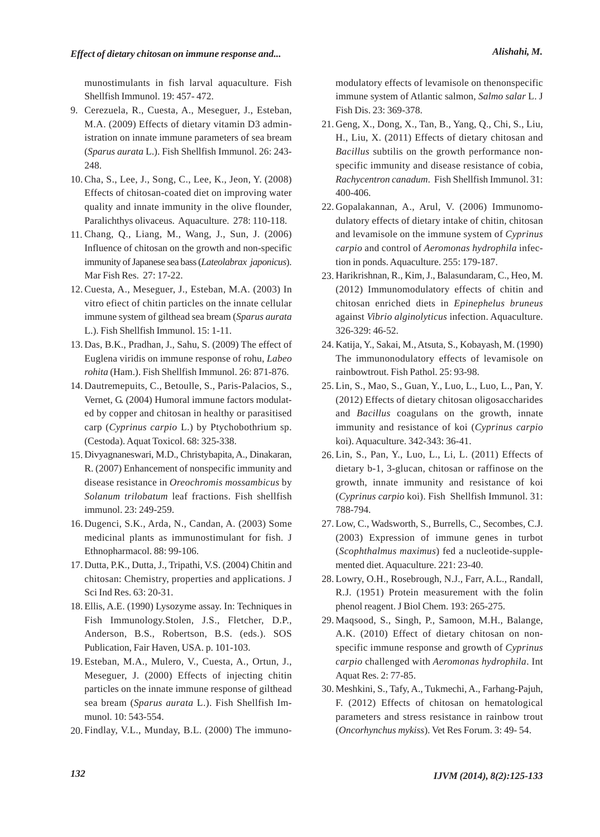munostimulants in fish larval aquaculture. Fish Shellfish Immunol. 19: 457- 472.

- 9. Cerezuela, R., Cuesta, A., Meseguer, J., Esteban, M.A. (2009) Effects of dietary vitamin D3 administration on innate immune parameters of sea bream (*Sparus aurata* L.). Fish Shellfish Immunol. 26: 243- 248.
- 10. Cha, S., Lee, J., Song, C., Lee, K., Jeon, Y. (2008) Effects of chitosan-coated diet on improving water quality and innate immunity in the olive flounder, Paralichthys olivaceus. Aquaculture. 278: 110-118.
- Chang, Q., Liang, M., Wang, J., Sun, J. (2006) 11. Influence of chitosan on the growth and non-specific immunity of Japanese sea bass (*Lateolabrax japonicus*). Mar Fish Res. 27: 17-22.
- Cuesta, A., Meseguer, J., Esteban, M.A. (2003) In 12. vitro efiect of chitin particles on the innate cellular immune system of gilthead sea bream (*Sparus aurata* L.). Fish Shellfish Immunol. 15: 1-11.
- 13. Das, B.K., Pradhan, J., Sahu, S. (2009) The effect of Euglena viridis on immune response of rohu, *Labeo rohita* (Ham.). Fish Shellfish Immunol. 26: 871-876.
- 14. Dautremepuits, C., Betoulle, S., Paris-Palacios, S., Vernet, G. (2004) Humoral immune factors modulated by copper and chitosan in healthy or parasitised carp (*Cyprinus carpio* L.) by Ptychobothrium sp. (Cestoda). Aquat Toxicol. 68: 325-338.
- 15. Divyagnaneswari, M.D., Christybapita, A., Dinakaran, R. (2007) Enhancement of nonspecific immunity and disease resistance in *Oreochromis mossambicus* by *Solanum trilobatum* leaf fractions. Fish shellfish immunol. 23: 249-259.
- 16. Dugenci, S.K., Arda, N., Candan, A. (2003) Some medicinal plants as immunostimulant for fish. J Ethnopharmacol. 88: 99-106.
- 17. Dutta, P.K., Dutta, J., Tripathi, V.S. (2004) Chitin and chitosan: Chemistry, properties and applications. J Sci Ind Res. 63: 20-31.
- Ellis, A.E. (1990) Lysozyme assay. In: Techniques in 18. Fish Immunology.Stolen, J.S., Fletcher, D.P., Anderson, B.S., Robertson, B.S. (eds.). SOS Publication, Fair Haven, USA. p. 101-103.
- Esteban, M.A., Mulero, V., Cuesta, A., Ortun, J., 19. Meseguer, J. (2000) Effects of injecting chitin particles on the innate immune response of gilthead sea bream (*Sparus aurata* L.). Fish Shellfish Immunol. 10: 543-554.
- 20. Findlay, V.L., Munday, B.L. (2000) The immuno-

modulatory effects of levamisole on thenonspecific immune system of Atlantic salmon, *Salmo salar* L. J Fish Dis. 23: 369-378.

- Geng, X., Dong, X., Tan, B., Yang, Q., Chi, S., Liu, 21. H., Liu, X. (2011) Effects of dietary chitosan and *Bacillus* subtilis on the growth performance nonspecific immunity and disease resistance of cobia, *Rachycentron canadum*. Fish Shellfish Immunol. 31: 400-406.
- Gopalakannan, A., Arul, V. (2006) Immunomo-22. dulatory effects of dietary intake of chitin, chitosan and levamisole on the immune system of *Cyprinus carpio* and control of *Aeromonas hydrophila* infection in ponds. Aquaculture. 255: 179-187.
- Harikrishnan, R., Kim, J., Balasundaram, C., Heo, M. 23. (2012) Immunomodulatory effects of chitin and chitosan enriched diets in *Epinephelus bruneus* against *Vibrio alginolyticus* infection. Aquaculture. 326-329: 46-52.
- 24. Katija, Y., Sakai, M., Atsuta, S., Kobayash, M. (1990) The immunonodulatory effects of levamisole on rainbowtrout. Fish Pathol. 25: 93-98.
- Lin, S., Mao, S., Guan, Y., Luo, L., Luo, L., Pan, Y. 25. (2012) Effects of dietary chitosan oligosaccharides and *Bacillus* coagulans on the growth, innate immunity and resistance of koi (*Cyprinus carpio* koi). Aquaculture. 342-343: 36-41.
- Lin, S., Pan, Y., Luo, L., Li, L. (2011) Effects of 26. dietary b-1, 3-glucan, chitosan or raffinose on the growth, innate immunity and resistance of koi (*Cyprinus carpio* koi). Fish Shellfish Immunol. 31: 788-794.
- Low, C., Wadsworth, S., Burrells, C., Secombes, C.J. 27. (2003) Expression of immune genes in turbot (*Scophthalmus maximus*) fed a nucleotide-supplemented diet. Aquaculture. 221: 23-40.
- Lowry, O.H., Rosebrough, N.J., Farr, A.L., Randall, 28. R.J. (1951) Protein measurement with the folin phenol reagent. J Biol Chem. 193: 265-275.
- Maqsood, S., Singh, P., Samoon, M.H., Balange, 29. A.K. (2010) Effect of dietary chitosan on nonspecific immune response and growth of *Cyprinus carpio* challenged with *Aeromonas hydrophila*. Int Aquat Res. 2: 77-85.
- 30. Meshkini, S., Tafy, A., Tukmechi, A., Farhang-Pajuh, F. (2012) Effects of chitosan on hematological parameters and stress resistance in rainbow trout (*Oncorhynchus mykiss*). Vet Res Forum. 3: 49- 54.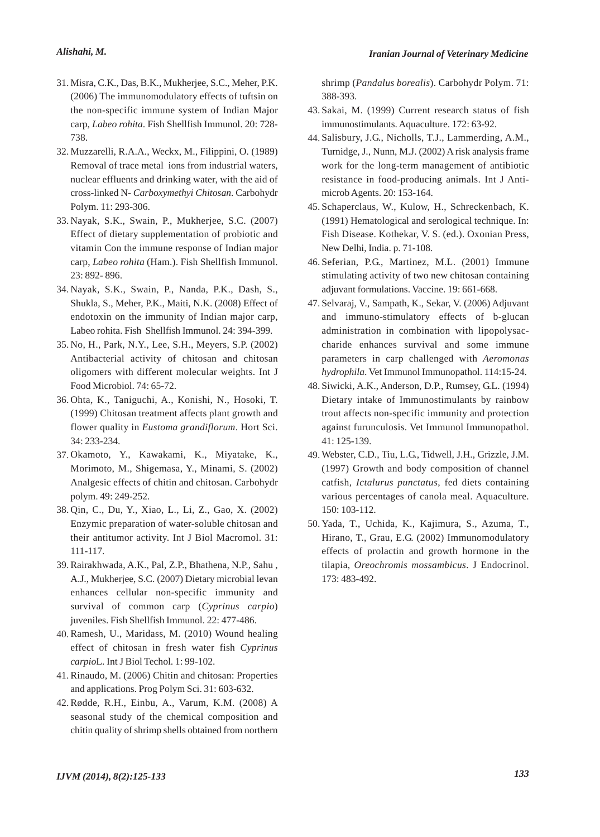- Misra, C.K., Das, B.K., Mukherjee, S.C., Meher, P.K. 31. (2006) The immunomodulatory effects of tuftsin on the non-specific immune system of Indian Major carp, *Labeo rohita*. Fish Shellfish Immunol. 20: 728- 738.
- Muzzarelli, R.A.A., Weckx, M., Filippini, O. (1989) 32. Removal of trace metal ions from industrial waters, nuclear effluents and drinking water, with the aid of cross-linked N- *Carboxymethyi Chitosan*. Carbohydr Polym. 11: 293-306.
- Nayak, S.K., Swain, P., Mukherjee, S.C. (2007) 33. Effect of dietary supplementation of probiotic and vitamin Con the immune response of Indian major carp, *Labeo rohita* (Ham.). Fish Shellfish Immunol. 23: 892- 896.
- Nayak, S.K., Swain, P., Nanda, P.K., Dash, S., 34. Shukla, S., Meher, P.K., Maiti, N.K. (2008) Effect of endotoxin on the immunity of Indian major carp, Labeo rohita. Fish Shellfish Immunol. 24: 394-399.
- No, H., Park, N.Y., Lee, S.H., Meyers, S.P. (2002) 35. Antibacterial activity of chitosan and chitosan oligomers with different molecular weights. Int J Food Microbiol. 74: 65-72.
- 36. Ohta, K., Taniguchi, A., Konishi, N., Hosoki, T. (1999) Chitosan treatment affects plant growth and flower quality in *Eustoma grandiflorum*. Hort Sci. 34: 233-234.
- 37. Okamoto, Y., Kawakami, K., Miyatake, K., Morimoto, M., Shigemasa, Y., Minami, S. (2002) Analgesic effects of chitin and chitosan. Carbohydr polym. 49: 249-252.
- 38. Qin, C., Du, Y., Xiao, L., Li, Z., Gao, X. (2002) Enzymic preparation of water-soluble chitosan and their antitumor activity. Int J Biol Macromol. 31: 111-117.
- Rairakhwada, A.K., Pal, Z.P., Bhathena, N.P., Sahu , 39. A.J., Mukherjee, S.C. (2007) Dietary microbial levan enhances cellular non-specific immunity and survival of common carp (*Cyprinus carpio*) juveniles. Fish Shellfish Immunol. 22: 477-486.
- 40. Ramesh, U., Maridass, M. (2010) Wound healing effect of chitosan in fresh water fish *Cyprinus carpio*L. Int J Biol Techol. 1: 99-102.
- 41. Rinaudo, M. (2006) Chitin and chitosan: Properties and applications. Prog Polym Sci. 31: 603-632.
- Rødde, R.H., Einbu, A., Varum, K.M. (2008) A 42. seasonal study of the chemical composition and chitin quality of shrimp shells obtained from northern

shrimp (*Pandalus borealis*). Carbohydr Polym. 71: 388-393.

- 43. Sakai, M. (1999) Current research status of fish immunostimulants. Aquaculture. 172: 63-92.
- 44. Salisbury, J.G., Nicholls, T.J., Lammerding, A.M., Turnidge, J., Nunn, M.J. (2002) A risk analysis frame work for the long-term management of antibiotic resistance in food-producing animals. Int J Antimicrob Agents. 20: 153-164.
- 45. Schaperclaus, W., Kulow, H., Schreckenbach, K. (1991) Hematological and serological technique. In: Fish Disease. Kothekar, V. S. (ed.). Oxonian Press, New Delhi, India. p. 71-108.
- 46. Seferian, P.G., Martinez, M.L. (2001) Immune stimulating activity of two new chitosan containing adjuvant formulations. Vaccine. 19: 661-668.
- 47. Selvaraj, V., Sampath, K., Sekar, V. (2006) Adjuvant and immuno-stimulatory effects of b-glucan administration in combination with lipopolysaccharide enhances survival and some immune parameters in carp challenged with *Aeromonas hydrophila*. Vet Immunol Immunopathol. 114:15-24.
- 48. Siwicki, A.K., Anderson, D.P., Rumsey, G.L. (1994) Dietary intake of Immunostimulants by rainbow trout affects non-specific immunity and protection against furunculosis. Vet Immunol Immunopathol. 41: 125-139.
- Webster, C.D., Tiu, L.G., Tidwell, J.H., Grizzle, J.M. 49. (1997) Growth and body composition of channel catfish, *Ictalurus punctatus*, fed diets containing various percentages of canola meal. Aquaculture. 150: 103-112.
- 50. Yada, T., Uchida, K., Kajimura, S., Azuma, T., Hirano, T., Grau, E.G. (2002) Immunomodulatory effects of prolactin and growth hormone in the tilapia, *Oreochromis mossambicus*. J Endocrinol. 173: 483-492.